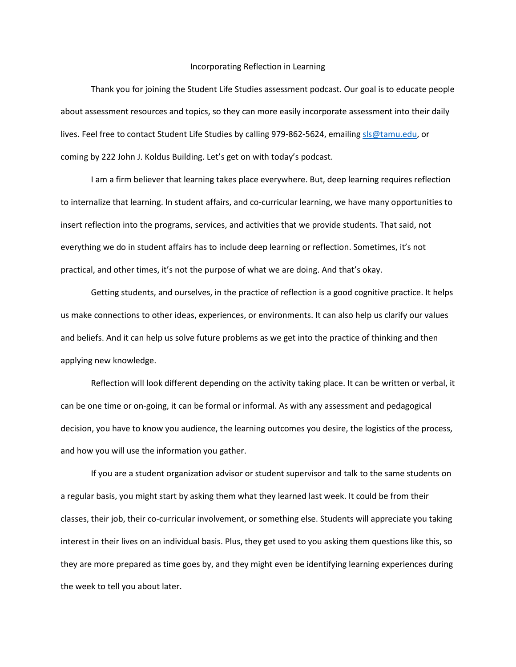## Incorporating Reflection in Learning

Thank you for joining the Student Life Studies assessment podcast. Our goal is to educate people about assessment resources and topics, so they can more easily incorporate assessment into their daily lives. Feel free to contact Student Life Studies by calling 979-862-5624, emailin[g sls@tamu.edu,](mailto:sls@tamu.edu) or coming by 222 John J. Koldus Building. Let's get on with today's podcast.

I am a firm believer that learning takes place everywhere. But, deep learning requires reflection to internalize that learning. In student affairs, and co-curricular learning, we have many opportunities to insert reflection into the programs, services, and activities that we provide students. That said, not everything we do in student affairs has to include deep learning or reflection. Sometimes, it's not practical, and other times, it's not the purpose of what we are doing. And that's okay.

Getting students, and ourselves, in the practice of reflection is a good cognitive practice. It helps us make connections to other ideas, experiences, or environments. It can also help us clarify our values and beliefs. And it can help us solve future problems as we get into the practice of thinking and then applying new knowledge.

Reflection will look different depending on the activity taking place. It can be written or verbal, it can be one time or on-going, it can be formal or informal. As with any assessment and pedagogical decision, you have to know you audience, the learning outcomes you desire, the logistics of the process, and how you will use the information you gather.

If you are a student organization advisor or student supervisor and talk to the same students on a regular basis, you might start by asking them what they learned last week. It could be from their classes, their job, their co-curricular involvement, or something else. Students will appreciate you taking interest in their lives on an individual basis. Plus, they get used to you asking them questions like this, so they are more prepared as time goes by, and they might even be identifying learning experiences during the week to tell you about later.